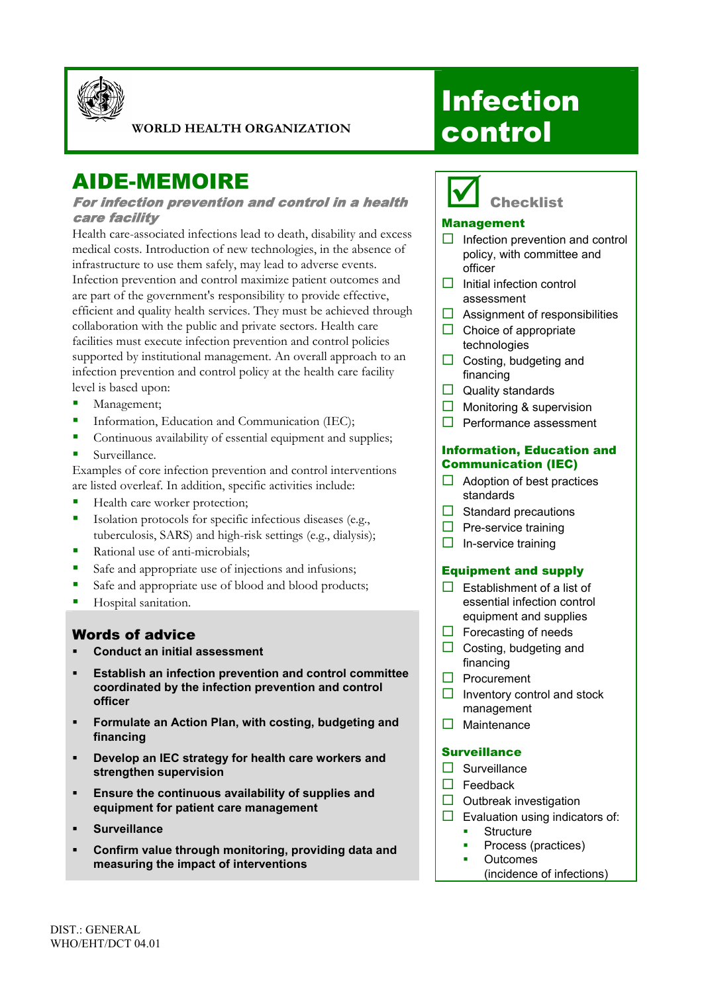

#### **WORLD HEALTH ORGANIZATION**

# AIDE-MEMOIRE

#### For infection prevention and control in a health care facility

Health care-associated infections lead to death, disability and excess medical costs. Introduction of new technologies, in the absence of infrastructure to use them safely, may lead to adverse events. Infection prevention and control maximize patient outcomes and are part of the government's responsibility to provide effective, efficient and quality health services. They must be achieved through collaboration with the public and private sectors. Health care facilities must execute infection prevention and control policies supported by institutional management. An overall approach to an infection prevention and control policy at the health care facility level is based upon:

- Management;
- **Information, Education and Communication (IEC);**
- Continuous availability of essential equipment and supplies;
- Surveillance.

Examples of core infection prevention and control interventions are listed overleaf. In addition, specific activities include:

- Health care worker protection;
- Isolation protocols for specific infectious diseases (e.g., tuberculosis, SARS) and high-risk settings (e.g., dialysis);
- Rational use of anti-microbials;
- Safe and appropriate use of injections and infusions;
- Safe and appropriate use of blood and blood products;
- Hospital sanitation.

### Words of advice

- **Conduct an initial assessment**
- **Establish an infection prevention and control committee coordinated by the infection prevention and control officer**
- **Formulate an Action Plan, with costing, budgeting and financing**
- **Develop an IEC strategy for health care workers and strengthen supervision**
- **Ensure the continuous availability of supplies and equipment for patient care management**
- **Surveillance**
- **Confirm value through monitoring, providing data and measuring the impact of interventions**

# **Infection** control



#### Management

- $\Box$  Infection prevention and control policy, with committee and officer
- $\Pi$  Initial infection control assessment
- $\Box$  Assignment of responsibilities
- $\Box$  Choice of appropriate technologies
- $\Box$  Costing, budgeting and financing
- $\Box$  Quality standards
- $\Box$  Monitoring & supervision
- $\Box$  Performance assessment

#### Information, Education and Communication (IEC)

- $\Box$  Adoption of best practices standards
- $\Box$  Standard precautions
- $\Box$  Pre-service training
- $\Box$  In-service training

#### Equipment and supply

- $\Box$  Establishment of a list of essential infection control equipment and supplies
- $\Box$  Forecasting of needs
- $\Box$  Costing, budgeting and financing
- $\Box$  Procurement
- $\Box$  Inventory control and stock management
- $\Box$  Maintenance

#### **Surveillance**

- $\square$  Surveillance
- $\Box$  Feedback
- $\Box$  Outbreak investigation
- $\Box$  Evaluation using indicators of:
	- **Structure**
	- **Process (practices)**
	- **•** Outcomes
		- (incidence of infections)